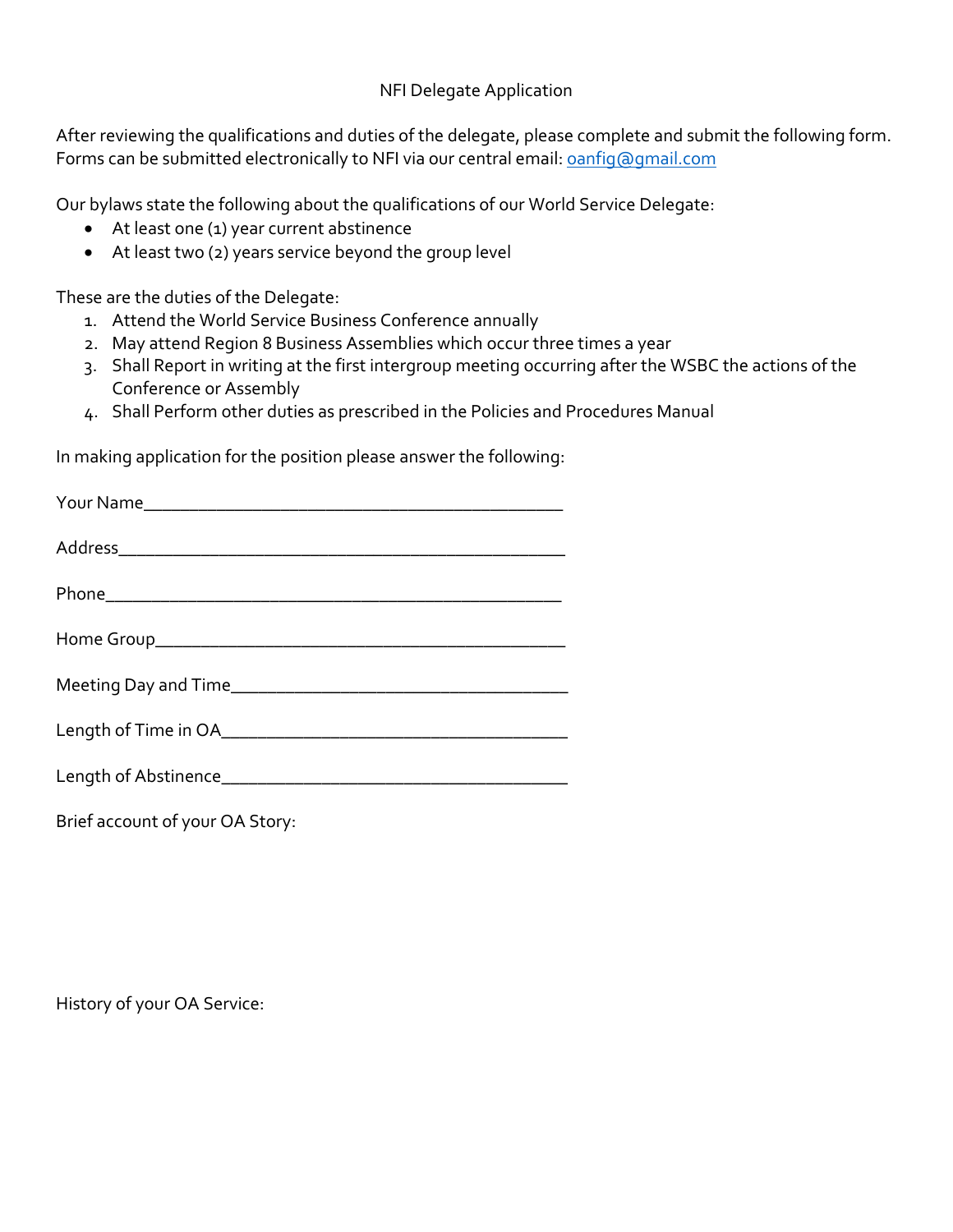## NFI Delegate Application

After reviewing the qualifications and duties of the delegate, please complete and submit the following form. Forms can be submitted electronically to NFI via our central email: panfig@gmail.com

Our bylaws state the following about the qualifications of our World Service Delegate:

- At least one (1) year current abstinence
- At least two (2) years service beyond the group level

These are the duties of the Delegate:

- 1. Attend the World Service Business Conference annually
- 2. May attend Region 8 Business Assemblies which occur three times a year
- 3. Shall Report in writing at the first intergroup meeting occurring after the WSBC the actions of the Conference or Assembly
- 4. Shall Perform other duties as prescribed in the Policies and Procedures Manual

In making application for the position please answer the following:

Brief account of your OA Story:

History of your OA Service: